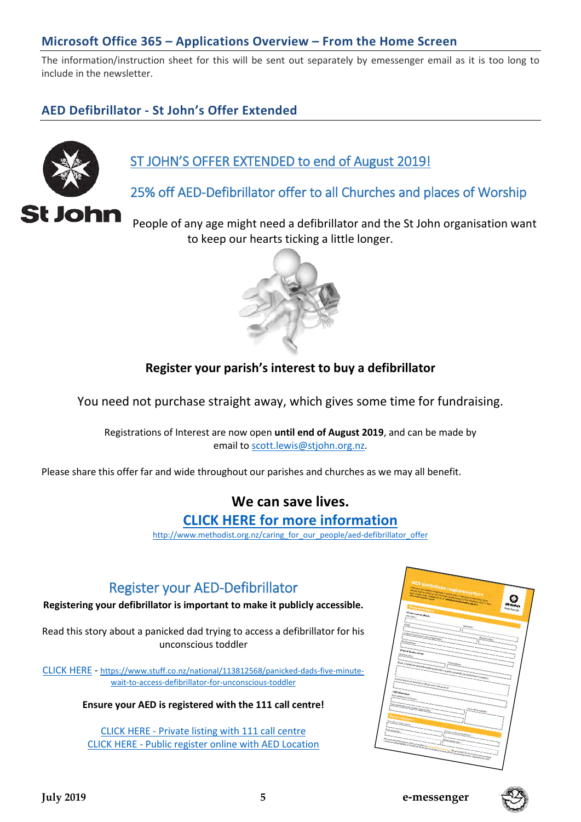#### **Microsoft Office 365 – Applications Overview – From the Home Screen**

The information/instruction sheet for this will be sent out separately by emessenger email as it is too long to include in the newsletter.

#### **AED Defibrillator - St John's Offer Extended**



# ST JOHN'S OFFER EXTENDED to end of August 2019!

25% off AED-Defibrillator offer to all Churches and places of Worship

People of any age might need a defibrillator and the St John organisation want to keep our hearts ticking a little longer.



#### **Register your parish's interest to buy a defibrillator**

You need not purchase straight away, which gives some time for fundraising.

Registrations of Interest are now open **until end of August 2019**, and can be made by email to [scott.lewis@stjohn.org.nz.](mailto:scott.lewis@stjohn.org.nz?subject=Registration%20of%20interest%20-%20Church%20Defibrillator)

Please share this offer far and wide throughout our parishes and churches as we may all benefit.

## **We can save lives.**

#### **[CLICK HERE for more information](http://www.methodist.org.nz/caring_for_our_people/aed-defibrillator_offer)**

[http://www.methodist.org.nz/caring\\_for\\_our\\_people/aed-defibrillator\\_offer](http://www.methodist.org.nz/caring_for_our_people/aed-defibrillator_offer)

## Register your AED-Defibrillator

**Registering your defibrillator is important to make it publicly accessible.**

Read this story about a panicked dad trying to access a defibrillator for his unconscious toddler

[CLICK HERE](https://www.stuff.co.nz/national/113812568/panicked-dads-five-minute-wait-to-access-defibrillator-for-unconscious-toddler) - [https://www.stuff.co.nz/national/113812568/panicked-dads-five-minute](https://www.stuff.co.nz/national/113812568/panicked-dads-five-minute-wait-to-access-defibrillator-for-unconscious-toddler)[wait-to-access-defibrillator-for-unconscious-toddler](https://www.stuff.co.nz/national/113812568/panicked-dads-five-minute-wait-to-access-defibrillator-for-unconscious-toddler)

**Ensure your AED is registered with the 111 call centre!**

[CLICK HERE - Private listing with 111 call centre](https://www.stjohn.org.nz/globalassets/documents/aed-registration-form_final.pdf) [CLICK HERE - Public register online with AED Location](https://aedlocations.co.nz/form/)



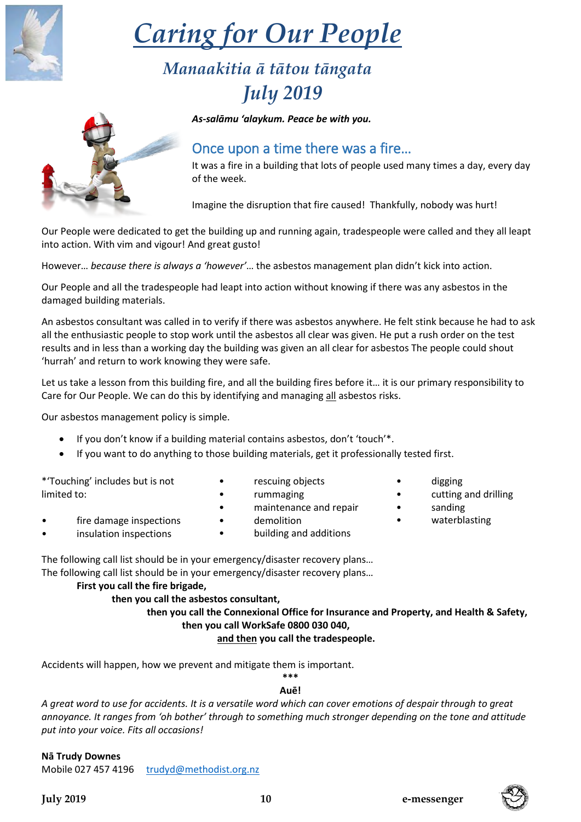#### **July 2019 10 e-messenger**

fire damage inspections insulation inspections • demolition

The following call list should be in your emergency/disaster recovery plans… The following call list should be in your emergency/disaster recovery plans…

#### **First you call the fire brigade,**

#### **then you call the asbestos consultant,**

 **then you call the Connexional Office for Insurance and Property, and Health & Safety, then you call WorkSafe 0800 030 040,**

#### **and then you call the tradespeople.**

Accidents will happen, how we prevent and mitigate them is important. **\*\*\***

#### **Auē!**

*A great word to use for accidents. It is a versatile word which can cover emotions of despair through to great annoyance. It ranges from 'oh bother' through to something much stronger depending on the tone and attitude put into your voice. Fits all occasions!*

#### **Nā Trudy Downes**

Mobile 027 457 4196 [trudyd@methodist.org.nz](mailto:trudyd@methodist.org.nz)

# *Caring for Our People*

# *Manaakitia ā tātou tāngata July 2019*

*As-salāmu 'alaykum. Peace be with you.*

# Once upon a time there was a fire…

It was a fire in a building that lots of people used many times a day, every day of the week.

Imagine the disruption that fire caused! Thankfully, nobody was hurt!

Our People were dedicated to get the building up and running again, tradespeople were called and they all leapt into action. With vim and vigour! And great gusto!

However… *because there is always a 'however'*… the asbestos management plan didn't kick into action.

Our People and all the tradespeople had leapt into action without knowing if there was any asbestos in the damaged building materials.

An asbestos consultant was called in to verify if there was asbestos anywhere. He felt stink because he had to ask all the enthusiastic people to stop work until the asbestos all clear was given. He put a rush order on the test results and in less than a working day the building was given an all clear for asbestos The people could shout 'hurrah' and return to work knowing they were safe.

Let us take a lesson from this building fire, and all the building fires before it... it is our primary responsibility to Care for Our People. We can do this by identifying and managing all asbestos risks.

Our asbestos management policy is simple.

- If you don't know if a building material contains asbestos, don't 'touch'\*.
- If you want to do anything to those building materials, get it professionally tested first.

\*'Touching' includes but is not limited to:

- rescuing objects
- rummaging
- maintenance and repair
- building and additions
- cutting and drilling • sanding
- waterblasting

• digging